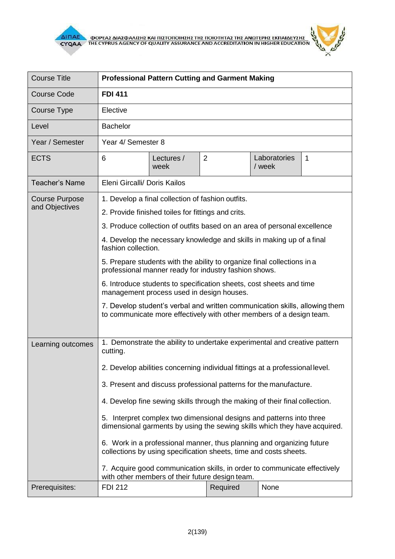

|  | 9 |
|--|---|
|  |   |
|  |   |

| <b>Course Title</b>                     | <b>Professional Pattern Cutting and Garment Making</b>                                                                                                                                                                                                                                                                                                                                                                                                                                                                                                                                                                                                                                                                                                       |                    |                |                        |   |
|-----------------------------------------|--------------------------------------------------------------------------------------------------------------------------------------------------------------------------------------------------------------------------------------------------------------------------------------------------------------------------------------------------------------------------------------------------------------------------------------------------------------------------------------------------------------------------------------------------------------------------------------------------------------------------------------------------------------------------------------------------------------------------------------------------------------|--------------------|----------------|------------------------|---|
| <b>Course Code</b>                      | <b>FDI 411</b>                                                                                                                                                                                                                                                                                                                                                                                                                                                                                                                                                                                                                                                                                                                                               |                    |                |                        |   |
| Course Type                             | Elective                                                                                                                                                                                                                                                                                                                                                                                                                                                                                                                                                                                                                                                                                                                                                     |                    |                |                        |   |
| Level                                   | <b>Bachelor</b>                                                                                                                                                                                                                                                                                                                                                                                                                                                                                                                                                                                                                                                                                                                                              |                    |                |                        |   |
| Year / Semester                         | Year 4/ Semester 8                                                                                                                                                                                                                                                                                                                                                                                                                                                                                                                                                                                                                                                                                                                                           |                    |                |                        |   |
| <b>ECTS</b>                             | 6                                                                                                                                                                                                                                                                                                                                                                                                                                                                                                                                                                                                                                                                                                                                                            | Lectures /<br>week | $\overline{2}$ | Laboratories<br>/ week | 1 |
| <b>Teacher's Name</b>                   | Eleni Gircalli/ Doris Kailos                                                                                                                                                                                                                                                                                                                                                                                                                                                                                                                                                                                                                                                                                                                                 |                    |                |                        |   |
| <b>Course Purpose</b><br>and Objectives | 1. Develop a final collection of fashion outfits.<br>2. Provide finished toiles for fittings and crits.<br>3. Produce collection of outfits based on an area of personal excellence<br>4. Develop the necessary knowledge and skills in making up of a final<br>fashion collection.<br>5. Prepare students with the ability to organize final collections in a<br>professional manner ready for industry fashion shows.<br>6. Introduce students to specification sheets, cost sheets and time<br>management process used in design houses.<br>7. Develop student's verbal and written communication skills, allowing them<br>to communicate more effectively with other members of a design team.                                                           |                    |                |                        |   |
| Learning outcomes                       | 1. Demonstrate the ability to undertake experimental and creative pattern<br>cutting.<br>2. Develop abilities concerning individual fittings at a professional level.<br>3. Present and discuss professional patterns for the manufacture.<br>4. Develop fine sewing skills through the making of their final collection.<br>5. Interpret complex two dimensional designs and patterns into three<br>dimensional garments by using the sewing skills which they have acquired.<br>6. Work in a professional manner, thus planning and organizing future<br>collections by using specification sheets, time and costs sheets.<br>7. Acquire good communication skills, in order to communicate effectively<br>with other members of their future design team. |                    |                |                        |   |
| Prerequisites:                          | <b>FDI 212</b>                                                                                                                                                                                                                                                                                                                                                                                                                                                                                                                                                                                                                                                                                                                                               |                    | Required       | None                   |   |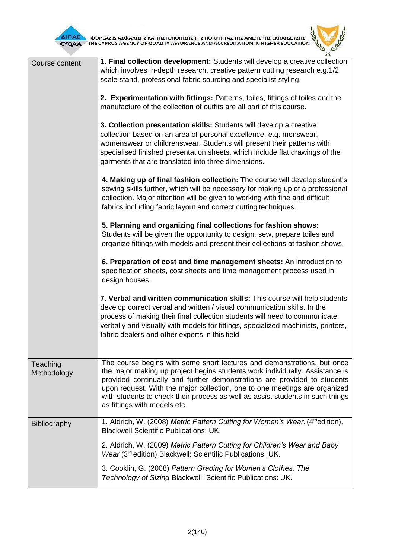

 $\overline{\Delta}$  (ΠΑΕ<br>CYQAA THE CYPRUS AGENCY OF QUALITY ASSURANCE AND ACCREDITATION IN HIGHER EDUCATION



| Course content          | 1. Final collection development: Students will develop a creative collection<br>which involves in-depth research, creative pattern cutting research e.g.1/2<br>scale stand, professional fabric sourcing and specialist styling.<br>2. Experimentation with fittings: Patterns, toiles, fittings of toiles and the<br>manufacture of the collection of outfits are all part of this course.<br>3. Collection presentation skills: Students will develop a creative<br>collection based on an area of personal excellence, e.g. menswear,<br>womenswear or childrenswear. Students will present their patterns with<br>specialised finished presentation sheets, which include flat drawings of the<br>garments that are translated into three dimensions.<br>4. Making up of final fashion collection: The course will develop student's<br>sewing skills further, which will be necessary for making up of a professional<br>collection. Major attention will be given to working with fine and difficult<br>fabrics including fabric layout and correct cutting techniques.<br>5. Planning and organizing final collections for fashion shows:<br>Students will be given the opportunity to design, sew, prepare toiles and<br>organize fittings with models and present their collections at fashion shows.<br>6. Preparation of cost and time management sheets: An introduction to<br>specification sheets, cost sheets and time management process used in<br>design houses. |
|-------------------------|------------------------------------------------------------------------------------------------------------------------------------------------------------------------------------------------------------------------------------------------------------------------------------------------------------------------------------------------------------------------------------------------------------------------------------------------------------------------------------------------------------------------------------------------------------------------------------------------------------------------------------------------------------------------------------------------------------------------------------------------------------------------------------------------------------------------------------------------------------------------------------------------------------------------------------------------------------------------------------------------------------------------------------------------------------------------------------------------------------------------------------------------------------------------------------------------------------------------------------------------------------------------------------------------------------------------------------------------------------------------------------------------------------------------------------------------------------------------------------|
|                         | 7. Verbal and written communication skills: This course will help students<br>develop correct verbal and written / visual communication skills. In the<br>process of making their final collection students will need to communicate<br>verbally and visually with models for fittings, specialized machinists, printers,<br>fabric dealers and other experts in this field.                                                                                                                                                                                                                                                                                                                                                                                                                                                                                                                                                                                                                                                                                                                                                                                                                                                                                                                                                                                                                                                                                                       |
| Teaching<br>Methodology | The course begins with some short lectures and demonstrations, but once<br>the major making up project begins students work individually. Assistance is<br>provided continually and further demonstrations are provided to students<br>upon request. With the major collection, one to one meetings are organized<br>with students to check their process as well as assist students in such things<br>as fittings with models etc.                                                                                                                                                                                                                                                                                                                                                                                                                                                                                                                                                                                                                                                                                                                                                                                                                                                                                                                                                                                                                                                |
| <b>Bibliography</b>     | 1. Aldrich, W. (2008) Metric Pattern Cutting for Women's Wear. (4th edition).<br><b>Blackwell Scientific Publications: UK.</b><br>2. Aldrich, W. (2009) Metric Pattern Cutting for Children's Wear and Baby<br>Wear (3 <sup>rd</sup> edition) Blackwell: Scientific Publications: UK.<br>3. Cooklin, G. (2008) Pattern Grading for Women's Clothes, The<br>Technology of Sizing Blackwell: Scientific Publications: UK.                                                                                                                                                                                                                                                                                                                                                                                                                                                                                                                                                                                                                                                                                                                                                                                                                                                                                                                                                                                                                                                            |